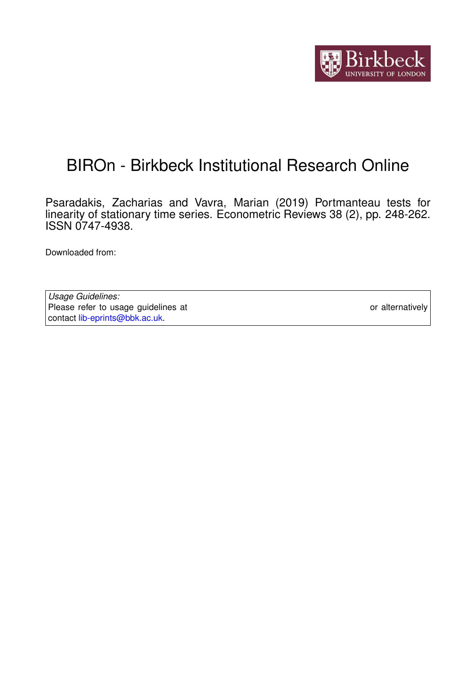

## BIROn - Birkbeck Institutional Research Online

Psaradakis, Zacharias and Vavra, Marian (2019) Portmanteau tests for linearity of stationary time series. Econometric Reviews 38 (2), pp. 248-262. ISSN 0747-4938.

Downloaded from: <https://eprints.bbk.ac.uk/id/eprint/16620/>

*Usage Guidelines:* Please refer to usage guidelines at <https://eprints.bbk.ac.uk/policies.html> or alternatively contact [lib-eprints@bbk.ac.uk.](mailto:lib-eprints@bbk.ac.uk)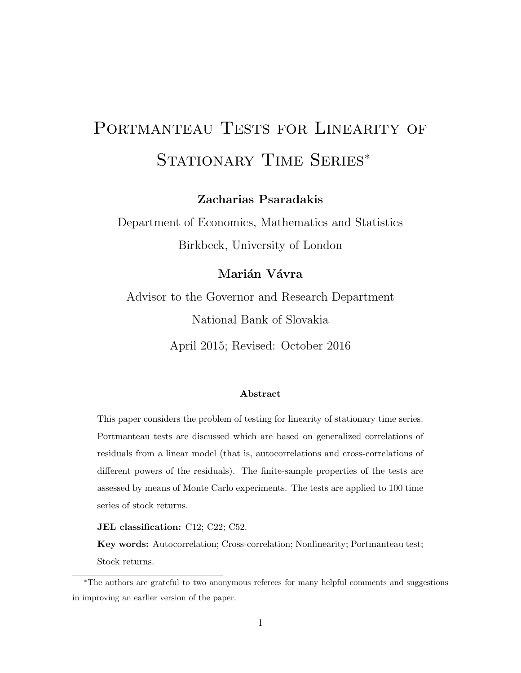# PORTMANTEAU TESTS FOR LINEARITY OF STATIONARY TIME SERIES<sup>\*</sup>

Zacharias Psaradakis

Department of Economics, Mathematics and Statistics Birkbeck, University of London

### Marián Vávra

Advisor to the Governor and Research Department National Bank of Slovakia

April 2015; Revised: October 2016

#### Abstract

This paper considers the problem of testing for linearity of stationary time series. Portmanteau tests are discussed which are based on generalized correlations of residuals from a linear model (that is, autocorrelations and cross-correlations of different powers of the residuals). The finite-sample properties of the tests are assessed by means of Monte Carlo experiments. The tests are applied to 100 time series of stock returns.

JEL classification: C12; C22; C52.

Key words: Autocorrelation; Cross-correlation; Nonlinearity; Portmanteau test; Stock returns.

<sup>∗</sup>The authors are grateful to two anonymous referees for many helpful comments and suggestions in improving an earlier version of the paper.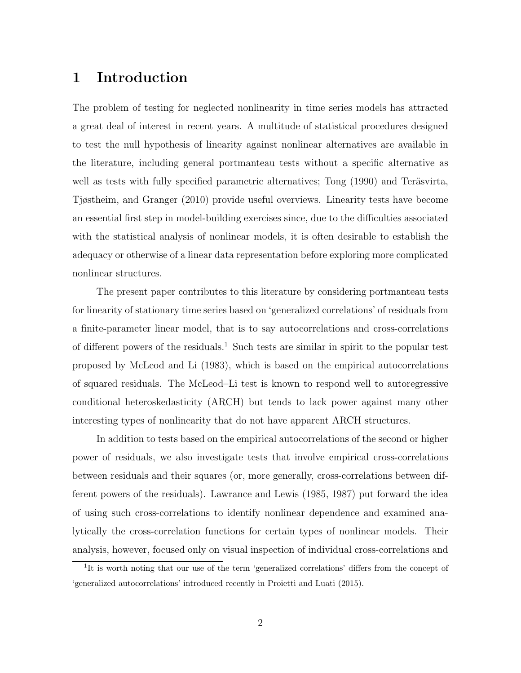## 1 Introduction

The problem of testing for neglected nonlinearity in time series models has attracted a great deal of interest in recent years. A multitude of statistical procedures designed to test the null hypothesis of linearity against nonlinear alternatives are available in the literature, including general portmanteau tests without a specific alternative as well as tests with fully specified parametric alternatives; Tong (1990) and Teräsvirta, Tjøstheim, and Granger (2010) provide useful overviews. Linearity tests have become an essential first step in model-building exercises since, due to the difficulties associated with the statistical analysis of nonlinear models, it is often desirable to establish the adequacy or otherwise of a linear data representation before exploring more complicated nonlinear structures.

The present paper contributes to this literature by considering portmanteau tests for linearity of stationary time series based on 'generalized correlations' of residuals from a finite-parameter linear model, that is to say autocorrelations and cross-correlations of different powers of the residuals.<sup>1</sup> Such tests are similar in spirit to the popular test proposed by McLeod and Li (1983), which is based on the empirical autocorrelations of squared residuals. The McLeod–Li test is known to respond well to autoregressive conditional heteroskedasticity (ARCH) but tends to lack power against many other interesting types of nonlinearity that do not have apparent ARCH structures.

In addition to tests based on the empirical autocorrelations of the second or higher power of residuals, we also investigate tests that involve empirical cross-correlations between residuals and their squares (or, more generally, cross-correlations between different powers of the residuals). Lawrance and Lewis (1985, 1987) put forward the idea of using such cross-correlations to identify nonlinear dependence and examined analytically the cross-correlation functions for certain types of nonlinear models. Their analysis, however, focused only on visual inspection of individual cross-correlations and

<sup>&</sup>lt;sup>1</sup>It is worth noting that our use of the term 'generalized correlations' differs from the concept of 'generalized autocorrelations' introduced recently in Proietti and Luati (2015).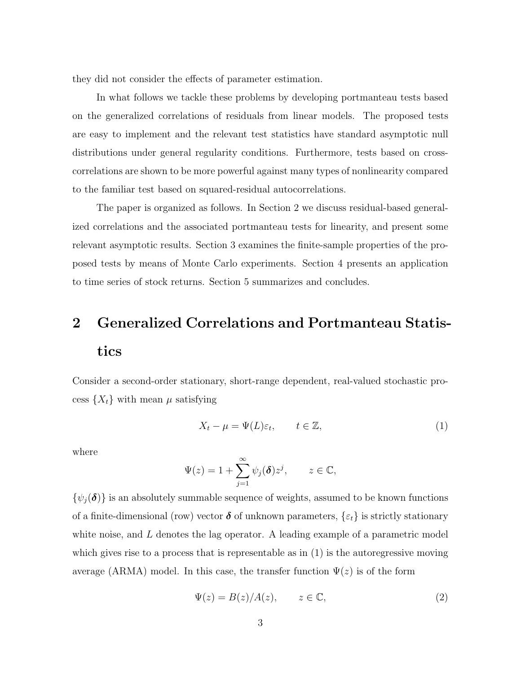they did not consider the effects of parameter estimation.

In what follows we tackle these problems by developing portmanteau tests based on the generalized correlations of residuals from linear models. The proposed tests are easy to implement and the relevant test statistics have standard asymptotic null distributions under general regularity conditions. Furthermore, tests based on crosscorrelations are shown to be more powerful against many types of nonlinearity compared to the familiar test based on squared-residual autocorrelations.

The paper is organized as follows. In Section 2 we discuss residual-based generalized correlations and the associated portmanteau tests for linearity, and present some relevant asymptotic results. Section 3 examines the finite-sample properties of the proposed tests by means of Monte Carlo experiments. Section 4 presents an application to time series of stock returns. Section 5 summarizes and concludes.

## 2 Generalized Correlations and Portmanteau Statistics

Consider a second-order stationary, short-range dependent, real-valued stochastic process  $\{X_t\}$  with mean  $\mu$  satisfying

$$
X_t - \mu = \Psi(L)\varepsilon_t, \qquad t \in \mathbb{Z}, \tag{1}
$$

where

$$
\Psi(z) = 1 + \sum_{j=1}^{\infty} \psi_j(\boldsymbol{\delta}) z^j, \qquad z \in \mathbb{C},
$$

 $\{\psi_j(\boldsymbol{\delta})\}\$ is an absolutely summable sequence of weights, assumed to be known functions of a finite-dimensional (row) vector  $\delta$  of unknown parameters,  $\{\varepsilon_t\}$  is strictly stationary white noise, and  $L$  denotes the lag operator. A leading example of a parametric model which gives rise to a process that is representable as in (1) is the autoregressive moving average (ARMA) model. In this case, the transfer function  $\Psi(z)$  is of the form

$$
\Psi(z) = B(z)/A(z), \qquad z \in \mathbb{C}, \tag{2}
$$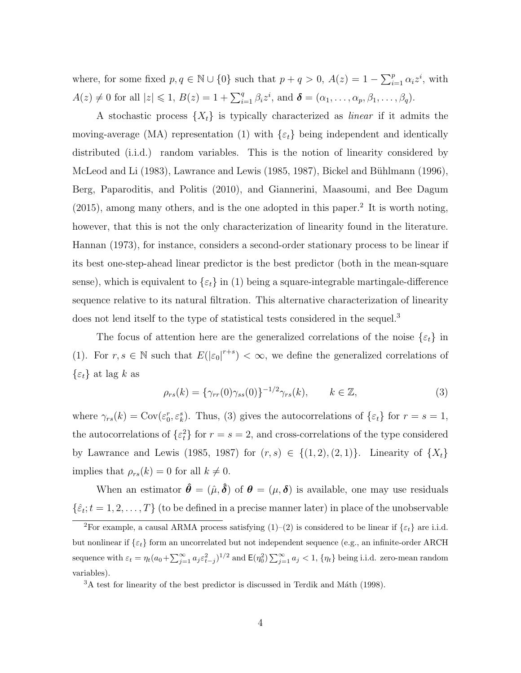where, for some fixed  $p, q \in \mathbb{N} \cup \{0\}$  such that  $p + q > 0$ ,  $A(z) = 1 - \sum_{i=1}^{p} \alpha_i z^i$ , with  $A(z) \neq 0$  for all  $|z| \leq 1$ ,  $B(z) = 1 + \sum_{i=1}^{q} \beta_i z^i$ , and  $\boldsymbol{\delta} = (\alpha_1, \dots, \alpha_p, \beta_1, \dots, \beta_q)$ .

A stochastic process  $\{X_t\}$  is typically characterized as *linear* if it admits the moving-average (MA) representation (1) with  $\{\varepsilon_t\}$  being independent and identically distributed (i.i.d.) random variables. This is the notion of linearity considered by McLeod and Li  $(1983)$ , Lawrance and Lewis  $(1985, 1987)$ , Bickel and Bühlmann  $(1996)$ , Berg, Paparoditis, and Politis (2010), and Giannerini, Maasoumi, and Bee Dagum (2015), among many others, and is the one adopted in this paper.<sup>2</sup> It is worth noting, however, that this is not the only characterization of linearity found in the literature. Hannan (1973), for instance, considers a second-order stationary process to be linear if its best one-step-ahead linear predictor is the best predictor (both in the mean-square sense), which is equivalent to  $\{\varepsilon_t\}$  in (1) being a square-integrable martingale-difference sequence relative to its natural filtration. This alternative characterization of linearity does not lend itself to the type of statistical tests considered in the sequel.<sup>3</sup>

The focus of attention here are the generalized correlations of the noise  $\{\varepsilon_t\}$  in (1). For  $r, s \in \mathbb{N}$  such that  $E(|\varepsilon_0|^{r+s}) < \infty$ , we define the generalized correlations of  $\{\varepsilon_t\}$  at lag k as

$$
\rho_{rs}(k) = {\gamma_{rr}(0)\gamma_{ss}(0)}^{-1/2}\gamma_{rs}(k), \qquad k \in \mathbb{Z},
$$
\n(3)

where  $\gamma_{rs}(k) = \text{Cov}(\varepsilon_0^r, \varepsilon_k^s)$ . Thus, (3) gives the autocorrelations of  $\{\varepsilon_t\}$  for  $r = s = 1$ , the autocorrelations of  $\{\varepsilon_t^2\}$  for  $r = s = 2$ , and cross-correlations of the type considered by Lawrance and Lewis (1985, 1987) for  $(r, s) \in \{(1, 2), (2, 1)\}\$ . Linearity of  $\{X_t\}$ implies that  $\rho_{rs}(k) = 0$  for all  $k \neq 0$ .

When an estimator  $\hat{\theta} = (\hat{\mu}, \hat{\delta})$  of  $\theta = (\mu, \delta)$  is available, one may use residuals  $\{\hat{\varepsilon}_t; t = 1, 2, \ldots, T\}$  (to be defined in a precise manner later) in place of the unobservable

<sup>&</sup>lt;sup>2</sup>For example, a causal ARMA process satisfying (1)–(2) is considered to be linear if  $\{\varepsilon_t\}$  are i.i.d. but nonlinear if  $\{\varepsilon_t\}$  form an uncorrelated but not independent sequence (e.g., an infinite-order ARCH sequence with  $\varepsilon_t = \eta_t (a_0 + \sum_{j=1}^{\infty} a_j \varepsilon_{t-j}^2)^{1/2}$  and  $\mathsf{E}(\eta_0^2) \sum_{j=1}^{\infty} a_j < 1$ ,  $\{\eta_t\}$  being i.i.d. zero-mean random variables).

 ${}^{3}$ A test for linearity of the best predictor is discussed in Terdik and Máth (1998).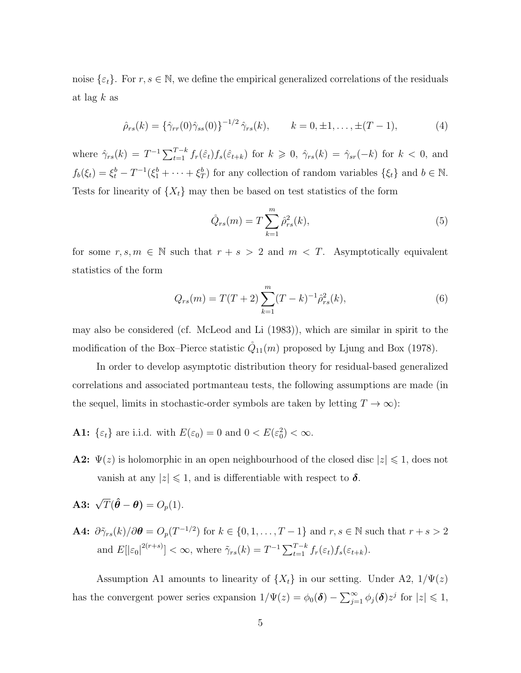noise  $\{\varepsilon_t\}$ . For  $r, s \in \mathbb{N}$ , we define the empirical generalized correlations of the residuals at lag  $k$  as

$$
\hat{\rho}_{rs}(k) = {\hat{\gamma}_{rr}(0)\hat{\gamma}_{ss}(0)}^{-1/2} \hat{\gamma}_{rs}(k), \qquad k = 0, \pm 1, \dots, \pm (T - 1), \tag{4}
$$

where  $\hat{\gamma}_{rs}(k) = T^{-1} \sum_{t=1}^{T-k} f_r(\hat{\varepsilon}_t) f_s(\hat{\varepsilon}_{t+k})$  for  $k \geq 0$ ,  $\hat{\gamma}_{rs}(k) = \hat{\gamma}_{sr}(-k)$  for  $k < 0$ , and  $f_b(\xi_t) = \xi_t^b - T^{-1}(\xi_1^b + \cdots + \xi_T^b)$  for any collection of random variables  $\{\xi_t\}$  and  $b \in \mathbb{N}$ . Tests for linearity of  $\{X_t\}$  may then be based on test statistics of the form

$$
\hat{Q}_{rs}(m) = T \sum_{k=1}^{m} \hat{\rho}_{rs}^2(k),
$$
\n(5)

for some  $r, s, m \in \mathbb{N}$  such that  $r + s > 2$  and  $m < T$ . Asymptotically equivalent statistics of the form

$$
Q_{rs}(m) = T(T+2) \sum_{k=1}^{m} (T-k)^{-1} \hat{\rho}_{rs}^{2}(k), \qquad (6)
$$

may also be considered (cf. McLeod and Li (1983)), which are similar in spirit to the modification of the Box–Pierce statistic  $\ddot{Q}_{11}(m)$  proposed by Ljung and Box (1978).

In order to develop asymptotic distribution theory for residual-based generalized correlations and associated portmanteau tests, the following assumptions are made (in the sequel, limits in stochastic-order symbols are taken by letting  $T \to \infty$ ):

- **A1:**  $\{\varepsilon_t\}$  are i.i.d. with  $E(\varepsilon_0) = 0$  and  $0 < E(\varepsilon_0^2) < \infty$ .
- **A2:**  $\Psi(z)$  is holomorphic in an open neighbourhood of the closed disc  $|z| \leq 1$ , does not vanish at any  $|z| \leq 1$ , and is differentiable with respect to  $\delta$ .
- **A3:**  $\sqrt{T}(\hat{\theta} \theta) = O_p(1)$ .
- **A4:**  $\partial \tilde{\gamma}_{rs}(k)/\partial \theta = O_p(T^{-1/2})$  for  $k \in \{0, 1, ..., T-1\}$  and  $r, s \in \mathbb{N}$  such that  $r + s > 2$ and  $E[|\varepsilon_0|^{2(r+s)}] < \infty$ , where  $\tilde{\gamma}_{rs}(k) = T^{-1} \sum_{t=1}^{T-k} f_r(\varepsilon_t) f_s(\varepsilon_{t+k}).$

Assumption A1 amounts to linearity of  $\{X_t\}$  in our setting. Under A2,  $1/\Psi(z)$ has the convergent power series expansion  $1/\Psi(z) = \phi_0(\delta) - \sum_{j=1}^{\infty} \phi_j(\delta) z^j$  for  $|z| \leq 1$ ,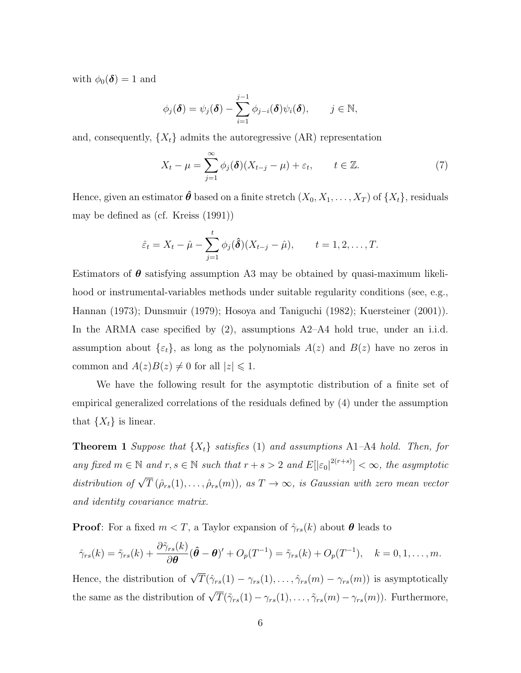with  $\phi_0(\boldsymbol{\delta}) = 1$  and

$$
\phi_j(\boldsymbol{\delta}) = \psi_j(\boldsymbol{\delta}) - \sum_{i=1}^{j-1} \phi_{j-i}(\boldsymbol{\delta}) \psi_i(\boldsymbol{\delta}), \qquad j \in \mathbb{N},
$$

and, consequently,  $\{X_t\}$  admits the autoregressive  $(AR)$  representation

$$
X_t - \mu = \sum_{j=1}^{\infty} \phi_j(\boldsymbol{\delta}) (X_{t-j} - \mu) + \varepsilon_t, \qquad t \in \mathbb{Z}.
$$
 (7)

Hence, given an estimator  $\hat{\theta}$  based on a finite stretch  $(X_0, X_1, \ldots, X_T)$  of  $\{X_t\}$ , residuals may be defined as (cf. Kreiss (1991))

$$
\hat{\varepsilon}_t = X_t - \hat{\mu} - \sum_{j=1}^t \phi_j(\hat{\boldsymbol{\delta}})(X_{t-j} - \hat{\mu}), \qquad t = 1, 2, ..., T.
$$

Estimators of  $\theta$  satisfying assumption A3 may be obtained by quasi-maximum likelihood or instrumental-variables methods under suitable regularity conditions (see, e.g., Hannan (1973); Dunsmuir (1979); Hosoya and Taniguchi (1982); Kuersteiner (2001)). In the ARMA case specified by (2), assumptions A2–A4 hold true, under an i.i.d. assumption about  $\{\varepsilon_t\}$ , as long as the polynomials  $A(z)$  and  $B(z)$  have no zeros in common and  $A(z)B(z) \neq 0$  for all  $|z| \leq 1$ .

We have the following result for the asymptotic distribution of a finite set of empirical generalized correlations of the residuals defined by (4) under the assumption that  $\{X_t\}$  is linear.

**Theorem 1** Suppose that  $\{X_t\}$  satisfies (1) and assumptions A1–A4 hold. Then, for any fixed  $m \in \mathbb{N}$  and  $r, s \in \mathbb{N}$  such that  $r + s > 2$  and  $E[|\varepsilon_0|^{2(r+s)}] < \infty$ , the asymptotic distribution of  $\sqrt{T} (\hat{\rho}_{rs}(1), \ldots, \hat{\rho}_{rs}(m))$ , as  $T \to \infty$ , is Gaussian with zero mean vector and identity covariance matrix.

**Proof:** For a fixed  $m < T$ , a Taylor expansion of  $\hat{\gamma}_{rs}(k)$  about  $\theta$  leads to

$$
\hat{\gamma}_{rs}(k) = \tilde{\gamma}_{rs}(k) + \frac{\partial \tilde{\gamma}_{rs}(k)}{\partial \boldsymbol{\theta}} (\hat{\boldsymbol{\theta}} - \boldsymbol{\theta})' + O_p(T^{-1}) = \tilde{\gamma}_{rs}(k) + O_p(T^{-1}), \quad k = 0, 1, ..., m.
$$

Hence, the distribution of  $\sqrt{T}(\hat{\gamma}_{rs}(1) - \gamma_{rs}(1), \ldots, \hat{\gamma}_{rs}(m) - \gamma_{rs}(m))$  is asymptotically the same as the distribution of  $\sqrt{T}(\tilde{\gamma}_{rs}(1) - \gamma_{rs}(1), \ldots, \tilde{\gamma}_{rs}(m) - \gamma_{rs}(m))$ . Furthermore,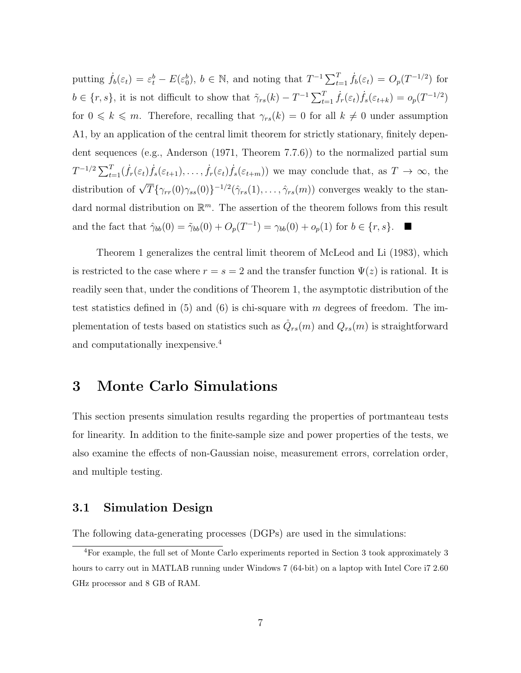putting  $\dot{f}_b(\varepsilon_t) = \varepsilon_t^b - E(\varepsilon_0^b)$ ,  $b \in \mathbb{N}$ , and noting that  $T^{-1} \sum_{t=1}^T \dot{f}_b(\varepsilon_t) = O_p(T^{-1/2})$  for  $b \in \{r, s\}$ , it is not difficult to show that  $\tilde{\gamma}_{rs}(k) - T^{-1} \sum_{t=1}^{T} \dot{f}_r(\varepsilon_t) \dot{f}_s(\varepsilon_{t+k}) = o_p(T^{-1/2})$ for  $0 \le k \le m$ . Therefore, recalling that  $\gamma_{rs}(k) = 0$  for all  $k \neq 0$  under assumption A1, by an application of the central limit theorem for strictly stationary, finitely dependent sequences (e.g., Anderson (1971, Theorem 7.7.6)) to the normalized partial sum  $T^{-1/2} \sum_{t=1}^{T} (\dot{f}_r(\varepsilon_t) \dot{f}_s(\varepsilon_{t+1}), \dots, \dot{f}_r(\varepsilon_t) \dot{f}_s(\varepsilon_{t+m}))$  we may conclude that, as  $T \to \infty$ , the distribution of  $\sqrt{T}\{\gamma_{rr}(0)\gamma_{ss}(0)\}^{-1/2}(\hat{\gamma}_{rs}(1),\ldots,\hat{\gamma}_{rs}(m))$  converges weakly to the standard normal distribution on  $\mathbb{R}^m$ . The assertion of the theorem follows from this result and the fact that  $\hat{\gamma}_{bb}(0) = \tilde{\gamma}_{bb}(0) + O_p(T^{-1}) = \gamma_{bb}(0) + o_p(1)$  for  $b \in \{r, s\}$ .

Theorem 1 generalizes the central limit theorem of McLeod and Li (1983), which is restricted to the case where  $r = s = 2$  and the transfer function  $\Psi(z)$  is rational. It is readily seen that, under the conditions of Theorem 1, the asymptotic distribution of the test statistics defined in  $(5)$  and  $(6)$  is chi-square with m degrees of freedom. The implementation of tests based on statistics such as  $\tilde{Q}_{rs}(m)$  and  $Q_{rs}(m)$  is straightforward and computationally inexpensive.<sup>4</sup>

## 3 Monte Carlo Simulations

This section presents simulation results regarding the properties of portmanteau tests for linearity. In addition to the finite-sample size and power properties of the tests, we also examine the effects of non-Gaussian noise, measurement errors, correlation order, and multiple testing.

#### 3.1 Simulation Design

The following data-generating processes (DGPs) are used in the simulations:

<sup>4</sup>For example, the full set of Monte Carlo experiments reported in Section 3 took approximately 3 hours to carry out in MATLAB running under Windows 7 (64-bit) on a laptop with Intel Core i7 2.60 GHz processor and 8 GB of RAM.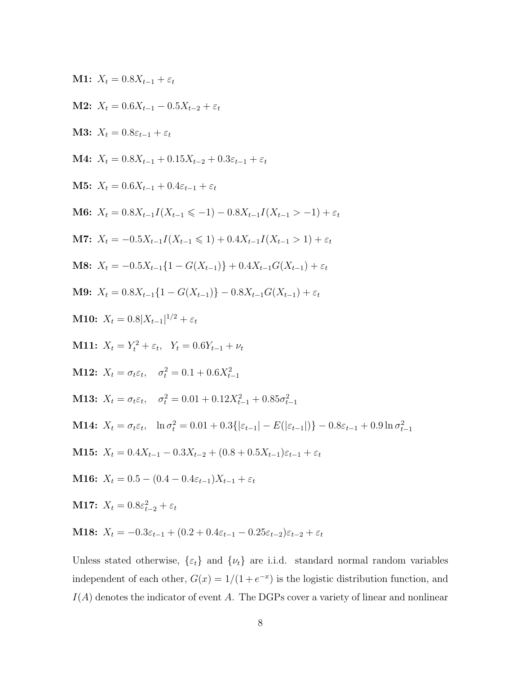M1: 
$$
X_t = 0.8X_{t-1} + \varepsilon_t
$$
  
\nM2:  $X_t = 0.6X_{t-1} - 0.5X_{t-2} + \varepsilon_t$   
\nM3:  $X_t = 0.8\varepsilon_{t-1} + \varepsilon_t$   
\nM4:  $X_t = 0.8X_{t-1} + 0.15X_{t-2} + 0.3\varepsilon_{t-1} + \varepsilon_t$   
\nM5:  $X_t = 0.6X_{t-1} + 0.4\varepsilon_{t-1} + \varepsilon_t$   
\nM6:  $X_t = 0.8X_{t-1}I(X_{t-1} \le -1) - 0.8X_{t-1}I(X_{t-1} > -1) + \varepsilon_t$   
\nM7:  $X_t = -0.5X_{t-1}I(X_{t-1} \le 1) + 0.4X_{t-1}I(X_{t-1} > 1) + \varepsilon_t$   
\nM8:  $X_t = -0.5X_{t-1}\{1 - G(X_{t-1})\} + 0.4X_{t-1}G(X_{t-1}) + \varepsilon_t$   
\nM9:  $X_t = 0.8X_{t-1}\{1 - G(X_{t-1})\} - 0.8X_{t-1}G(X_{t-1}) + \varepsilon_t$   
\nM10:  $X_t = 0.8|X_{t-1}|^{1/2} + \varepsilon_t$   
\nM11:  $X_t = Y_t^2 + \varepsilon_t$ ,  $Y_t = 0.6Y_{t-1} + \nu_t$   
\nM12:  $X_t = \sigma_t \varepsilon_t$ ,  $\sigma_t^2 = 0.1 + 0.6X_{t-1}^2$   
\nM13:  $X_t = \sigma_t \varepsilon_t$ ,  $\sigma_t^2 = 0.01 + 0.12X_{t-1}^2 + 0.85\sigma_{t-1}^2$   
\nM14:  $X_t = \sigma_t \varepsilon_t$ ,  $\sigma_t^2 = 0.01 + 0.3\{\varepsilon_{t-1}\} - E(\varepsilon_{t-1})\} - 0.8\varepsilon_{t-1} + 0.9\ln \sigma_{t-1}^2$   
\nM15:  $X_t = 0.4X_{$ 

Unless stated otherwise,  $\{\varepsilon_t\}$  and  $\{\nu_t\}$  are i.i.d. standard normal random variables independent of each other,  $G(x) = 1/(1 + e^{-x})$  is the logistic distribution function, and  $I(A)$  denotes the indicator of event A. The DGPs cover a variety of linear and nonlinear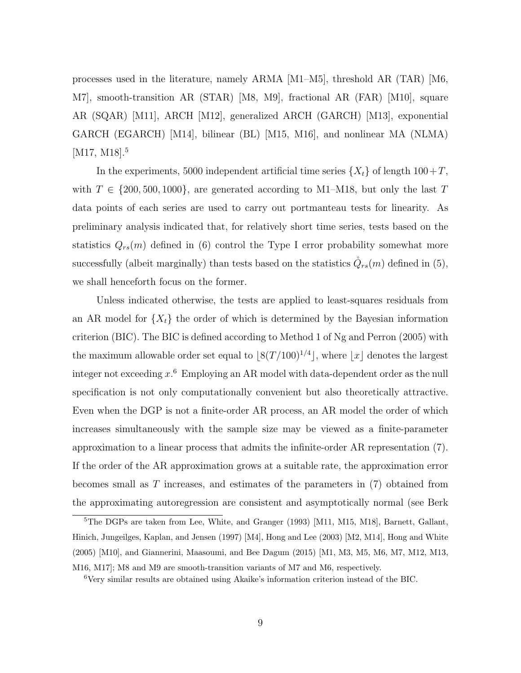processes used in the literature, namely ARMA [M1–M5], threshold AR (TAR) [M6, M7], smooth-transition AR (STAR) [M8, M9], fractional AR (FAR) [M10], square AR (SQAR) [M11], ARCH [M12], generalized ARCH (GARCH) [M13], exponential GARCH (EGARCH) [M14], bilinear (BL) [M15, M16], and nonlinear MA (NLMA) [M17, M18].<sup>5</sup>

In the experiments, 5000 independent artificial time series  $\{X_t\}$  of length  $100+T$ , with  $T \in \{200, 500, 1000\}$ , are generated according to M1–M18, but only the last T data points of each series are used to carry out portmanteau tests for linearity. As preliminary analysis indicated that, for relatively short time series, tests based on the statistics  $Q_{rs}(m)$  defined in (6) control the Type I error probability somewhat more successfully (albeit marginally) than tests based on the statistics  $\tilde{Q}_{rs}(m)$  defined in (5), we shall henceforth focus on the former.

Unless indicated otherwise, the tests are applied to least-squares residuals from an AR model for  $\{X_t\}$  the order of which is determined by the Bayesian information criterion (BIC). The BIC is defined according to Method 1 of Ng and Perron (2005) with the maximum allowable order set equal to  $\lfloor 8(T/100)^{1/4} \rfloor$ , where  $\lfloor x \rfloor$  denotes the largest integer not exceeding  $x^6$ . Employing an AR model with data-dependent order as the null specification is not only computationally convenient but also theoretically attractive. Even when the DGP is not a finite-order AR process, an AR model the order of which increases simultaneously with the sample size may be viewed as a finite-parameter approximation to a linear process that admits the infinite-order AR representation (7). If the order of the AR approximation grows at a suitable rate, the approximation error becomes small as T increases, and estimates of the parameters in (7) obtained from the approximating autoregression are consistent and asymptotically normal (see Berk

<sup>&</sup>lt;sup>5</sup>The DGPs are taken from Lee, White, and Granger (1993) [M11, M15, M18], Barnett, Gallant, Hinich, Jungeilges, Kaplan, and Jensen (1997) [M4], Hong and Lee (2003) [M2, M14], Hong and White (2005) [M10], and Giannerini, Maasoumi, and Bee Dagum (2015) [M1, M3, M5, M6, M7, M12, M13, M16, M17]; M8 and M9 are smooth-transition variants of M7 and M6, respectively.

<sup>6</sup>Very similar results are obtained using Akaike's information criterion instead of the BIC.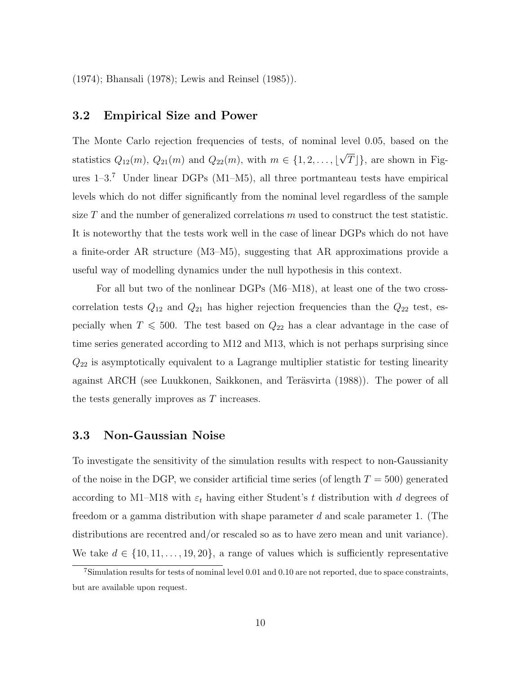(1974); Bhansali (1978); Lewis and Reinsel (1985)).

#### 3.2 Empirical Size and Power

The Monte Carlo rejection frequencies of tests, of nominal level 0.05, based on the statistics  $Q_{12}(m)$ ,  $Q_{21}(m)$  and  $Q_{22}(m)$ , with  $m \in \{1, 2, ..., \lfloor \frac{m}{2} \rfloor\}$ √  $T\rfloor$ , are shown in Figures  $1-3.7$  Under linear DGPs (M1–M5), all three portmanteau tests have empirical levels which do not differ significantly from the nominal level regardless of the sample size T and the number of generalized correlations  $m$  used to construct the test statistic. It is noteworthy that the tests work well in the case of linear DGPs which do not have a finite-order AR structure (M3–M5), suggesting that AR approximations provide a useful way of modelling dynamics under the null hypothesis in this context.

For all but two of the nonlinear DGPs (M6–M18), at least one of the two crosscorrelation tests  $Q_{12}$  and  $Q_{21}$  has higher rejection frequencies than the  $Q_{22}$  test, especially when  $T \le 500$ . The test based on  $Q_{22}$  has a clear advantage in the case of time series generated according to M12 and M13, which is not perhaps surprising since  $Q_{22}$  is asymptotically equivalent to a Lagrange multiplier statistic for testing linearity against ARCH (see Luukkonen, Saikkonen, and Teräsvirta (1988)). The power of all the tests generally improves as T increases.

#### 3.3 Non-Gaussian Noise

To investigate the sensitivity of the simulation results with respect to non-Gaussianity of the noise in the DGP, we consider artificial time series (of length  $T = 500$ ) generated according to M1–M18 with  $\varepsilon_t$  having either Student's t distribution with d degrees of freedom or a gamma distribution with shape parameter d and scale parameter 1. (The distributions are recentred and/or rescaled so as to have zero mean and unit variance). We take  $d \in \{10, 11, \ldots, 19, 20\}$ , a range of values which is sufficiently representative

<sup>7</sup>Simulation results for tests of nominal level 0.01 and 0.10 are not reported, due to space constraints, but are available upon request.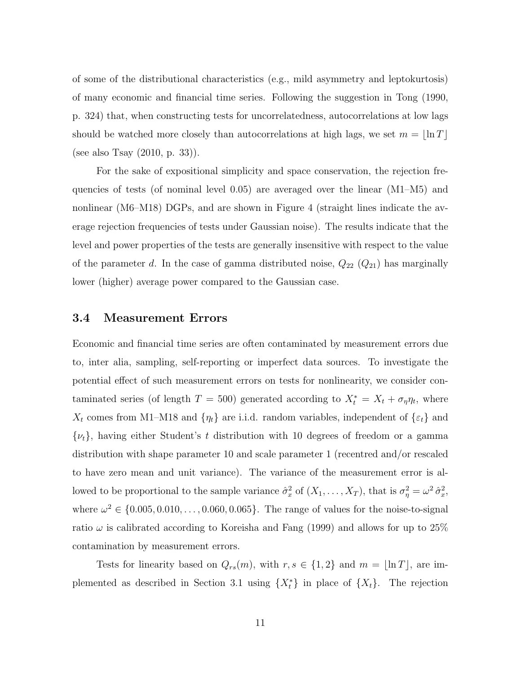of some of the distributional characteristics (e.g., mild asymmetry and leptokurtosis) of many economic and financial time series. Following the suggestion in Tong (1990, p. 324) that, when constructing tests for uncorrelatedness, autocorrelations at low lags should be watched more closely than autocorrelations at high lags, we set  $m = \lfloor \ln T \rfloor$ (see also Tsay (2010, p. 33)).

For the sake of expositional simplicity and space conservation, the rejection frequencies of tests (of nominal level 0.05) are averaged over the linear (M1–M5) and nonlinear (M6–M18) DGPs, and are shown in Figure 4 (straight lines indicate the average rejection frequencies of tests under Gaussian noise). The results indicate that the level and power properties of the tests are generally insensitive with respect to the value of the parameter d. In the case of gamma distributed noise,  $Q_{22}$   $(Q_{21})$  has marginally lower (higher) average power compared to the Gaussian case.

#### 3.4 Measurement Errors

Economic and financial time series are often contaminated by measurement errors due to, inter alia, sampling, self-reporting or imperfect data sources. To investigate the potential effect of such measurement errors on tests for nonlinearity, we consider contaminated series (of length  $T = 500$ ) generated according to  $X_t^* = X_t + \sigma_{\eta} \eta_t$ , where  $X_t$  comes from M1–M18 and  $\{\eta_t\}$  are i.i.d. random variables, independent of  $\{\varepsilon_t\}$  and  $\{\nu_t\}$ , having either Student's t distribution with 10 degrees of freedom or a gamma distribution with shape parameter 10 and scale parameter 1 (recentred and/or rescaled to have zero mean and unit variance). The variance of the measurement error is allowed to be proportional to the sample variance  $\hat{\sigma}_x^2$  of  $(X_1, \ldots, X_T)$ , that is  $\sigma_\eta^2 = \omega^2 \hat{\sigma}_x^2$ , where  $\omega^2 \in \{0.005, 0.010, \ldots, 0.060, 0.065\}$ . The range of values for the noise-to-signal ratio  $\omega$  is calibrated according to Koreisha and Fang (1999) and allows for up to 25% contamination by measurement errors.

Tests for linearity based on  $Q_{rs}(m)$ , with  $r, s \in \{1, 2\}$  and  $m = \lfloor \ln T \rfloor$ , are implemented as described in Section 3.1 using  $\{X_t^*\}$  in place of  $\{X_t\}$ . The rejection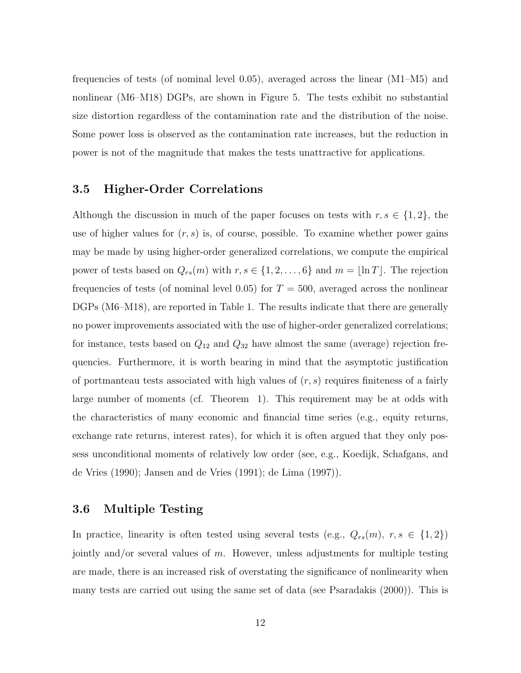frequencies of tests (of nominal level 0.05), averaged across the linear (M1–M5) and nonlinear (M6–M18) DGPs, are shown in Figure 5. The tests exhibit no substantial size distortion regardless of the contamination rate and the distribution of the noise. Some power loss is observed as the contamination rate increases, but the reduction in power is not of the magnitude that makes the tests unattractive for applications.

#### 3.5 Higher-Order Correlations

Although the discussion in much of the paper focuses on tests with  $r, s \in \{1, 2\}$ , the use of higher values for  $(r, s)$  is, of course, possible. To examine whether power gains may be made by using higher-order generalized correlations, we compute the empirical power of tests based on  $Q_{rs}(m)$  with  $r, s \in \{1, 2, ..., 6\}$  and  $m = \lfloor \ln T \rfloor$ . The rejection frequencies of tests (of nominal level 0.05) for  $T = 500$ , averaged across the nonlinear DGPs (M6–M18), are reported in Table 1. The results indicate that there are generally no power improvements associated with the use of higher-order generalized correlations; for instance, tests based on  $Q_{12}$  and  $Q_{32}$  have almost the same (average) rejection frequencies. Furthermore, it is worth bearing in mind that the asymptotic justification of portmanteau tests associated with high values of  $(r, s)$  requires finiteness of a fairly large number of moments (cf. Theorem 1). This requirement may be at odds with the characteristics of many economic and financial time series (e.g., equity returns, exchange rate returns, interest rates), for which it is often argued that they only possess unconditional moments of relatively low order (see, e.g., Koedijk, Schafgans, and de Vries (1990); Jansen and de Vries (1991); de Lima (1997)).

#### 3.6 Multiple Testing

In practice, linearity is often tested using several tests (e.g.,  $Q_{rs}(m)$ ,  $r, s \in \{1, 2\}$ ) jointly and/or several values of  $m$ . However, unless adjustments for multiple testing are made, there is an increased risk of overstating the significance of nonlinearity when many tests are carried out using the same set of data (see Psaradakis (2000)). This is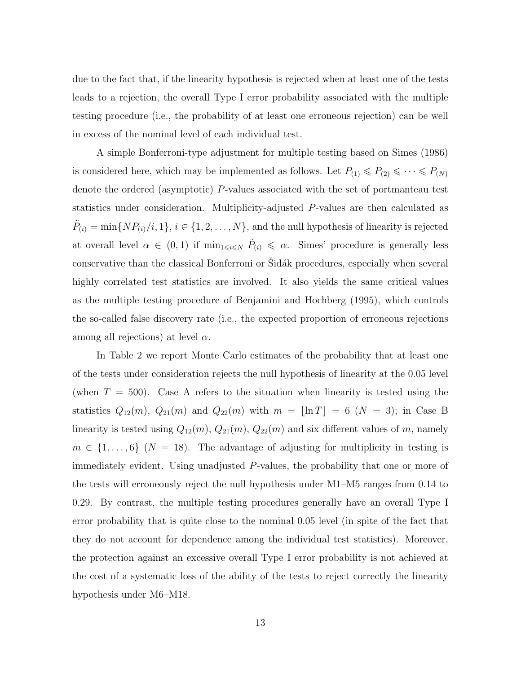due to the fact that, if the linearity hypothesis is rejected when at least one of the tests leads to a rejection, the overall Type I error probability associated with the multiple testing procedure (i.e., the probability of at least one erroneous rejection) can be well in excess of the nominal level of each individual test.

A simple Bonferroni-type adjustment for multiple testing based on Simes (1986) is considered here, which may be implemented as follows. Let  $P_{(1)} \leq P_{(2)} \leq \cdots \leq P_{(N)}$ denote the ordered (asymptotic) P-values associated with the set of portmanteau test statistics under consideration. Multiplicity-adjusted P-values are then calculated as  $\tilde{P}_{(i)} = \min\{NP_{(i)}/i, 1\}, i \in \{1, 2, ..., N\},\$  and the null hypothesis of linearity is rejected at overall level  $\alpha \in (0,1)$  if  $\min_{1 \leq i \leq N} \tilde{P}_{(i)} \leq \alpha$ . Simes' procedure is generally less conservative than the classical Bonferroni or Sidák procedures, especially when several highly correlated test statistics are involved. It also yields the same critical values as the multiple testing procedure of Benjamini and Hochberg (1995), which controls the so-called false discovery rate (i.e., the expected proportion of erroneous rejections among all rejections) at level  $\alpha$ .

In Table 2 we report Monte Carlo estimates of the probability that at least one of the tests under consideration rejects the null hypothesis of linearity at the 0.05 level (when  $T = 500$ ). Case A refers to the situation when linearity is tested using the statistics  $Q_{12}(m)$ ,  $Q_{21}(m)$  and  $Q_{22}(m)$  with  $m = \lfloor \ln T \rfloor = 6$  ( $N = 3$ ); in Case B linearity is tested using  $Q_{12}(m)$ ,  $Q_{21}(m)$ ,  $Q_{22}(m)$  and six different values of m, namely  $m \in \{1, \ldots, 6\}$  (N = 18). The advantage of adjusting for multiplicity in testing is immediately evident. Using unadjusted P-values, the probability that one or more of the tests will erroneously reject the null hypothesis under M1–M5 ranges from 0.14 to 0.29. By contrast, the multiple testing procedures generally have an overall Type I error probability that is quite close to the nominal 0.05 level (in spite of the fact that they do not account for dependence among the individual test statistics). Moreover, the protection against an excessive overall Type I error probability is not achieved at the cost of a systematic loss of the ability of the tests to reject correctly the linearity hypothesis under M6–M18.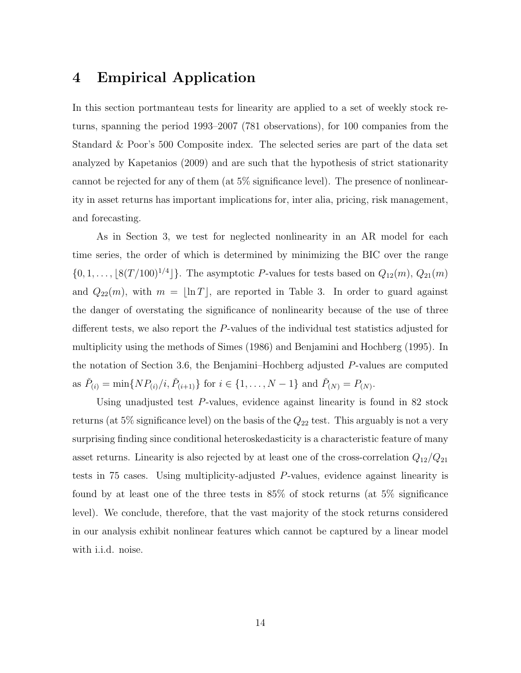## 4 Empirical Application

In this section portmanteau tests for linearity are applied to a set of weekly stock returns, spanning the period 1993–2007 (781 observations), for 100 companies from the Standard & Poor's 500 Composite index. The selected series are part of the data set analyzed by Kapetanios (2009) and are such that the hypothesis of strict stationarity cannot be rejected for any of them (at 5% significance level). The presence of nonlinearity in asset returns has important implications for, inter alia, pricing, risk management, and forecasting.

As in Section 3, we test for neglected nonlinearity in an AR model for each time series, the order of which is determined by minimizing the BIC over the range  $\{0, 1, \ldots, \lfloor 8(T/100)^{1/4} \rfloor\}$ . The asymptotic P-values for tests based on  $Q_{12}(m)$ ,  $Q_{21}(m)$ and  $Q_{22}(m)$ , with  $m = \lfloor \ln T \rfloor$ , are reported in Table 3. In order to guard against the danger of overstating the significance of nonlinearity because of the use of three different tests, we also report the P-values of the individual test statistics adjusted for multiplicity using the methods of Simes (1986) and Benjamini and Hochberg (1995). In the notation of Section 3.6, the Benjamini–Hochberg adjusted P-values are computed as  $\check{P}_{(i)} = \min\{NP_{(i)}/i, \check{P}_{(i+1)}\}$  for  $i \in \{1, ..., N-1\}$  and  $\check{P}_{(N)} = P_{(N)}$ .

Using unadjusted test P-values, evidence against linearity is found in 82 stock returns (at 5% significance level) on the basis of the  $Q_{22}$  test. This arguably is not a very surprising finding since conditional heteroskedasticity is a characteristic feature of many asset returns. Linearity is also rejected by at least one of the cross-correlation  $Q_{12}/Q_{21}$ tests in 75 cases. Using multiplicity-adjusted P-values, evidence against linearity is found by at least one of the three tests in 85% of stock returns (at 5% significance level). We conclude, therefore, that the vast majority of the stock returns considered in our analysis exhibit nonlinear features which cannot be captured by a linear model with i.i.d. noise.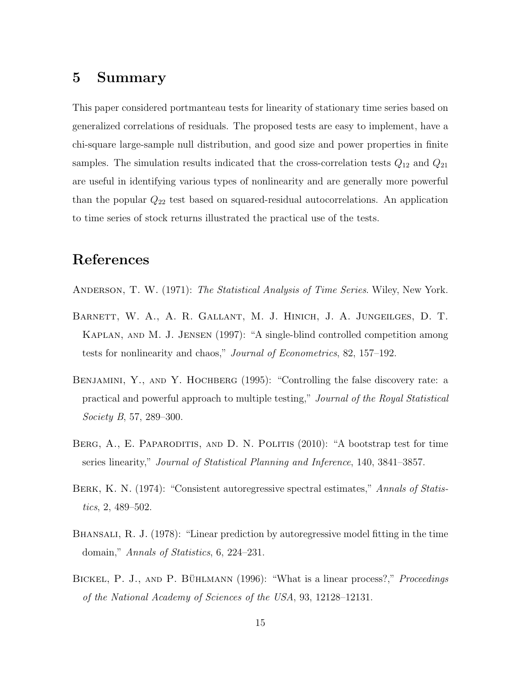## 5 Summary

This paper considered portmanteau tests for linearity of stationary time series based on generalized correlations of residuals. The proposed tests are easy to implement, have a chi-square large-sample null distribution, and good size and power properties in finite samples. The simulation results indicated that the cross-correlation tests  $Q_{12}$  and  $Q_{21}$ are useful in identifying various types of nonlinearity and are generally more powerful than the popular  $Q_{22}$  test based on squared-residual autocorrelations. An application to time series of stock returns illustrated the practical use of the tests.

## References

- ANDERSON, T. W. (1971): The Statistical Analysis of Time Series. Wiley, New York.
- Barnett, W. A., A. R. Gallant, M. J. Hinich, J. A. Jungeilges, D. T. Kaplan, and M. J. Jensen (1997): "A single-blind controlled competition among tests for nonlinearity and chaos," Journal of Econometrics, 82, 157–192.
- BENJAMINI, Y., AND Y. HOCHBERG (1995): "Controlling the false discovery rate: a practical and powerful approach to multiple testing," Journal of the Royal Statistical Society B, 57, 289–300.
- BERG, A., E. PAPARODITIS, AND D. N. POLITIS (2010): "A bootstrap test for time series linearity," Journal of Statistical Planning and Inference, 140, 3841–3857.
- BERK, K. N. (1974): "Consistent autoregressive spectral estimates," Annals of Statistics, 2, 489–502.
- BHANSALI, R. J. (1978): "Linear prediction by autoregressive model fitting in the time domain," Annals of Statistics, 6, 224-231.
- BICKEL, P. J., AND P. BÜHLMANN (1996): "What is a linear process?," Proceedings of the National Academy of Sciences of the USA, 93, 12128–12131.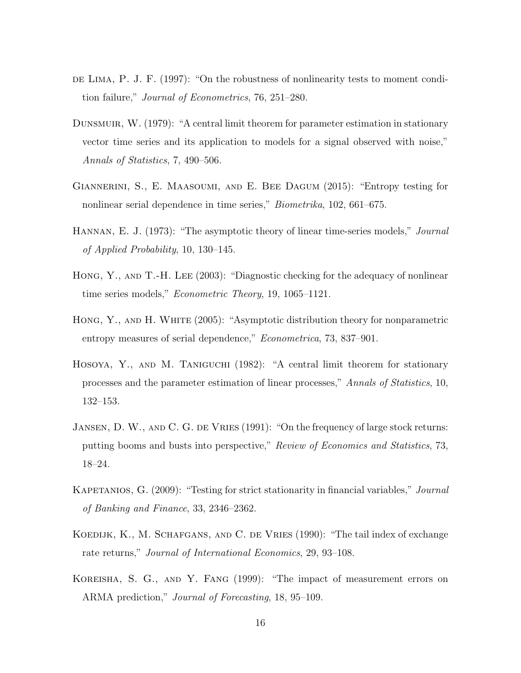- DE LIMA, P. J. F. (1997): "On the robustness of nonlinearity tests to moment condition failure," Journal of Econometrics, 76, 251–280.
- Dunsmuir, W. (1979): "A central limit theorem for parameter estimation in stationary vector time series and its application to models for a signal observed with noise," Annals of Statistics, 7, 490–506.
- Giannerini, S., E. Maasoumi, and E. Bee Dagum (2015): "Entropy testing for nonlinear serial dependence in time series," Biometrika, 102, 661–675.
- HANNAN, E. J. (1973): "The asymptotic theory of linear time-series models," *Journal* of Applied Probability, 10, 130–145.
- Hong, Y., and T.-H. Lee (2003): "Diagnostic checking for the adequacy of nonlinear time series models," Econometric Theory, 19, 1065–1121.
- Hong, Y., and H. White (2005): "Asymptotic distribution theory for nonparametric entropy measures of serial dependence," *Econometrica*, 73, 837–901.
- Hosoya, Y., and M. Taniguchi (1982): "A central limit theorem for stationary processes and the parameter estimation of linear processes," Annals of Statistics, 10, 132–153.
- JANSEN, D. W., AND C. G. DE VRIES (1991): "On the frequency of large stock returns: putting booms and busts into perspective," Review of Economics and Statistics, 73, 18–24.
- KAPETANIOS, G. (2009): "Testing for strict stationarity in financial variables," Journal of Banking and Finance, 33, 2346–2362.
- KOEDIJK, K., M. SCHAFGANS, AND C. DE VRIES (1990): "The tail index of exchange rate returns," Journal of International Economics, 29, 93–108.
- Koreisha, S. G., and Y. Fang (1999): "The impact of measurement errors on ARMA prediction," Journal of Forecasting, 18, 95–109.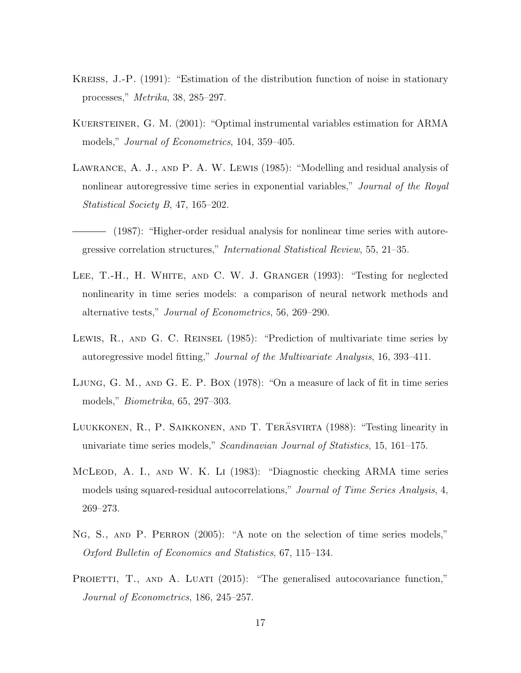- Kreiss, J.-P. (1991): "Estimation of the distribution function of noise in stationary processes," Metrika, 38, 285–297.
- KUERSTEINER, G. M. (2001): "Optimal instrumental variables estimation for ARMA models," Journal of Econometrics, 104, 359–405.
- LAWRANCE, A. J., AND P. A. W. LEWIS (1985): "Modelling and residual analysis of nonlinear autoregressive time series in exponential variables," *Journal of the Royal* Statistical Society B, 47, 165–202.
- (1987): "Higher-order residual analysis for nonlinear time series with autoregressive correlation structures," International Statistical Review, 55, 21–35.
- LEE, T.-H., H. WHITE, AND C. W. J. GRANGER (1993): "Testing for neglected nonlinearity in time series models: a comparison of neural network methods and alternative tests," Journal of Econometrics, 56, 269–290.
- LEWIS, R., AND G. C. REINSEL (1985): "Prediction of multivariate time series by autoregressive model fitting," Journal of the Multivariate Analysis, 16, 393–411.
- Ljung, G. M., and G. E. P. Box (1978): "On a measure of lack of fit in time series models," Biometrika, 65, 297–303.
- LUUKKONEN, R., P. SAIKKONEN, AND T. TERÄSVIRTA (1988): "Testing linearity in univariate time series models," Scandinavian Journal of Statistics, 15, 161–175.
- MCLEOD, A. I., AND W. K. LI (1983): "Diagnostic checking ARMA time series models using squared-residual autocorrelations," Journal of Time Series Analysis, 4, 269–273.
- Ng, S., and P. Perron (2005): "A note on the selection of time series models," Oxford Bulletin of Economics and Statistics, 67, 115–134.
- PROIETTI, T., AND A. LUATI (2015): "The generalised autocovariance function," Journal of Econometrics, 186, 245–257.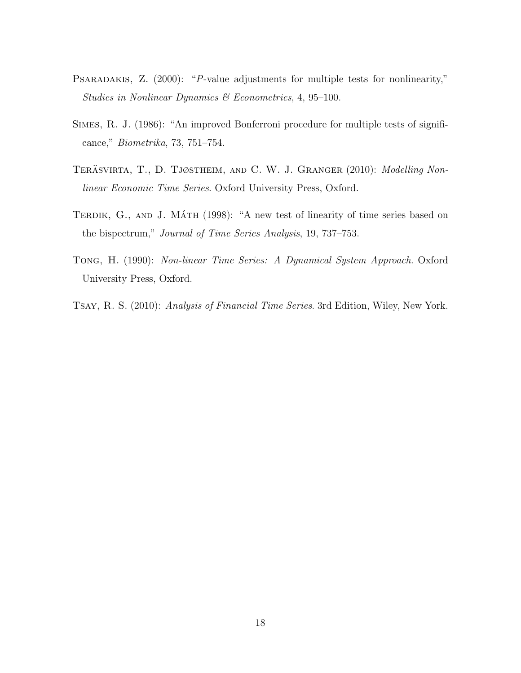- PSARADAKIS, Z. (2000): "P-value adjustments for multiple tests for nonlinearity," Studies in Nonlinear Dynamics & Econometrics, 4, 95–100.
- Simes, R. J. (1986): "An improved Bonferroni procedure for multiple tests of significance," Biometrika, 73, 751–754.
- TERÄSVIRTA, T., D. TJØSTHEIM, AND C. W. J. GRANGER (2010): *Modelling Non*linear Economic Time Series. Oxford University Press, Oxford.
- TERDIK, G., AND J. MÁTH (1998): "A new test of linearity of time series based on the bispectrum," Journal of Time Series Analysis, 19, 737–753.
- Tong, H. (1990): Non-linear Time Series: A Dynamical System Approach. Oxford University Press, Oxford.
- Tsay, R. S. (2010): Analysis of Financial Time Series. 3rd Edition, Wiley, New York.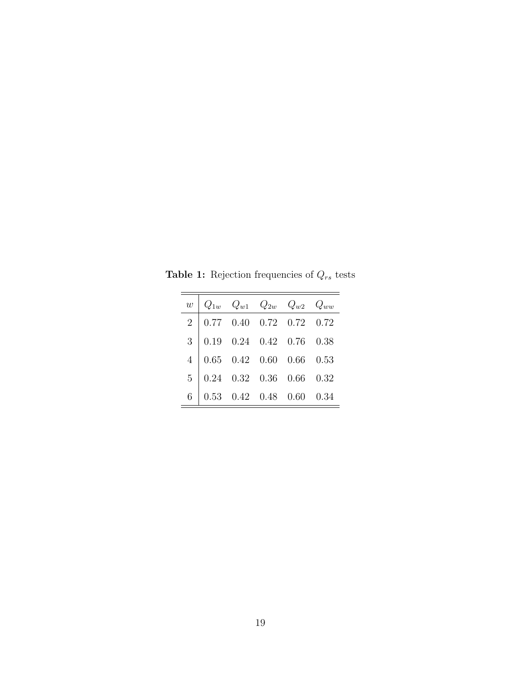| w |                                                                                                                                                                                                                                                                                    |  | $Q_{1w}$ $Q_{w1}$ $Q_{2w}$ $Q_{w2}$ $Q_{ww}$ |  |
|---|------------------------------------------------------------------------------------------------------------------------------------------------------------------------------------------------------------------------------------------------------------------------------------|--|----------------------------------------------|--|
|   |                                                                                                                                                                                                                                                                                    |  |                                              |  |
|   |                                                                                                                                                                                                                                                                                    |  |                                              |  |
|   |                                                                                                                                                                                                                                                                                    |  |                                              |  |
|   |                                                                                                                                                                                                                                                                                    |  |                                              |  |
|   | $\begin{tabular}{c cccc} $2$ & 0.77 & 0.40 & 0.72 & 0.72 & 0.72 \\[2mm] $3$ & 0.19 & 0.24 & 0.42 & 0.76 & 0.38 \\[2mm] $4$ & 0.65 & 0.42 & 0.60 & 0.66 & 0.53 \\[2mm] $5$ & 0.24 & 0.32 & 0.36 & 0.66 & 0.32 \\[2mm] $6$ & 0.53 & 0.42 & 0.48 & 0.60 & 0.34 \\[2mm] \end{tabular}$ |  |                                              |  |

Table 1: Rejection frequencies of  $Q_{rs}$  tests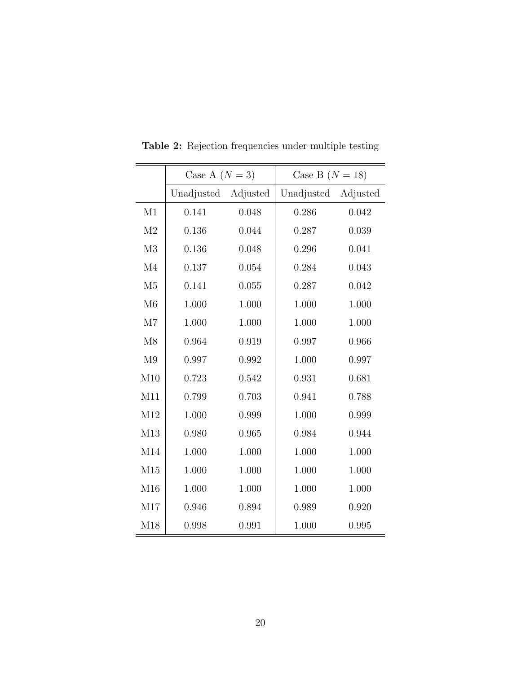|                | Case A $(N = 3)$    |       | Case B $(N = 18)$   |       |  |  |  |
|----------------|---------------------|-------|---------------------|-------|--|--|--|
|                | Unadjusted Adjusted |       | Unadjusted Adjusted |       |  |  |  |
| M1             | 0.141               | 0.048 | 0.286               | 0.042 |  |  |  |
| M <sub>2</sub> | 0.136               | 0.044 | 0.287               | 0.039 |  |  |  |
| M3             | 0.136               | 0.048 | 0.296               | 0.041 |  |  |  |
| M <sub>4</sub> | 0.137               | 0.054 | 0.284               | 0.043 |  |  |  |
| M <sub>5</sub> | 0.141               | 0.055 | 0.287               | 0.042 |  |  |  |
| M6             | 1.000               | 1.000 | 1.000               | 1.000 |  |  |  |
| M7             | 1.000               | 1.000 | 1.000               | 1.000 |  |  |  |
| M8             | 0.964               | 0.919 | 0.997               | 0.966 |  |  |  |
| M <sub>9</sub> | 0.997               | 0.992 | 1.000               | 0.997 |  |  |  |
| M10            | 0.723               | 0.542 | 0.931               | 0.681 |  |  |  |
| M11            | 0.799               | 0.703 | 0.941               | 0.788 |  |  |  |
| M12            | 1.000               | 0.999 | 1.000               | 0.999 |  |  |  |
| M13            | 0.980               | 0.965 | 0.984               | 0.944 |  |  |  |
| M14            | 1.000               | 1.000 | 1.000               | 1.000 |  |  |  |
| M15            | 1.000               | 1.000 | 1.000               | 1.000 |  |  |  |
| M16            | 1.000               | 1.000 | 1.000               | 1.000 |  |  |  |
| M17            | 0.946               | 0.894 | 0.989               | 0.920 |  |  |  |
| M18            | 0.998               | 0.991 | 1.000               | 0.995 |  |  |  |

Table 2: Rejection frequencies under multiple testing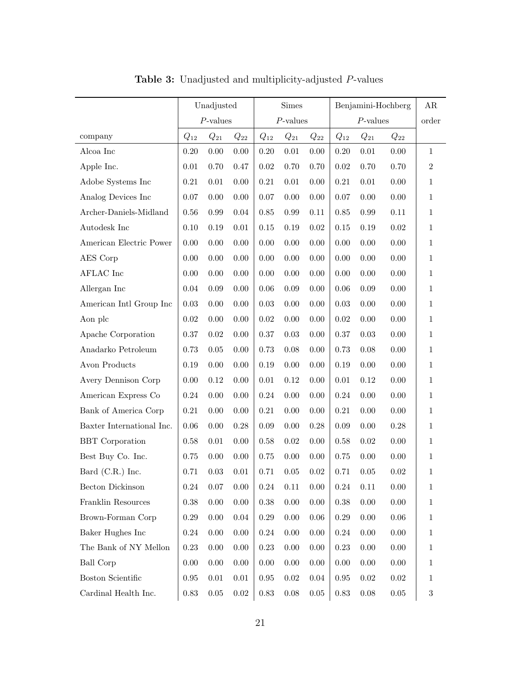|                            | Unadjusted  |                                |          | <b>Simes</b> |             |          | Benjamini-Hochberg |          |          |              |
|----------------------------|-------------|--------------------------------|----------|--------------|-------------|----------|--------------------|----------|----------|--------------|
|                            | $P$ -values |                                |          |              | $P$ -values |          |                    | order    |          |              |
| company                    | $Q_{12}$    | $Q_{21}$<br>$\mathcal{Q}_{22}$ |          | $Q_{12}$     | $Q_{21}$    | $Q_{22}$ | $Q_{12}$           | $Q_{21}$ | $Q_{22}$ |              |
| Alcoa Inc                  | 0.20        | $0.00\,$                       | 0.00     | $0.20\,$     | $0.01\,$    | 0.00     | $0.20\,$           | $0.01\,$ | $0.00\,$ | $\mathbf{1}$ |
| Apple Inc.                 | $0.01\,$    | 0.70                           | 0.47     | $0.02\,$     | $0.70\,$    | 0.70     | $\rm 0.02$         | 0.70     | $0.70\,$ | $\,2$        |
| Adobe Systems Inc          | 0.21        | $0.01\,$                       | 0.00     | $0.21\,$     | $0.01\,$    | 0.00     | $\rm 0.21$         | $0.01\,$ | $0.00\,$ | $\mathbf{1}$ |
| Analog Devices Inc         | 0.07        | $0.00\,$                       | 0.00     | $0.07\,$     | $0.00\,$    | 0.00     | $0.07\,$           | $0.00\,$ | $0.00\,$ | $\mathbf{1}$ |
| Archer-Daniels-Midland     | 0.56        | $0.99\,$                       | 0.04     | $0.85\,$     | $0.99\,$    | 0.11     | $0.85\,$           | 0.99     | $0.11\,$ | $\mathbf{1}$ |
| Autodesk Inc               | 0.10        | 0.19                           | $0.01\,$ | 0.15         | 0.19        | 0.02     | $0.15\,$           | 0.19     | $0.02\,$ | $\mathbf{1}$ |
| American Electric Power    | 0.00        | $0.00\,$                       | 0.00     | $0.00\,$     | $0.00\,$    | 0.00     | 0.00               | $0.00\,$ | $0.00\,$ | $\mathbf{1}$ |
| AES Corp                   | 0.00        | $0.00\,$                       | 0.00     | $0.00\,$     | $0.00\,$    | 0.00     | $0.00\,$           | $0.00\,$ | $0.00\,$ | $\mathbf{1}$ |
| $\operatorname{AFLAC}$ Inc | 0.00        | $0.00\,$                       | 0.00     | $0.00\,$     | $0.00\,$    | 0.00     | 0.00               | $0.00\,$ | $0.00\,$ | $\mathbf{1}$ |
| Allergan Inc               | 0.04        | 0.09                           | 0.00     | $0.06\,$     | $0.09\,$    | 0.00     | $0.06\,$           | $0.09\,$ | $0.00\,$ | $\mathbf{1}$ |
| American Intl Group Inc    | 0.03        | $0.00\,$                       | 0.00     | $0.03\,$     | $0.00\,$    | 0.00     | $\rm 0.03$         | 0.00     | $0.00\,$ | $\mathbf{1}$ |
| Aon plc                    | $0.02\,$    | $0.00\,$                       | 0.00     | $0.02\,$     | $0.00\,$    | 0.00     | $\rm 0.02$         | 0.00     | $0.00\,$ | $1\,$        |
| Apache Corporation         | 0.37        | $\rm 0.02$                     | 0.00     | $0.37\,$     | $0.03\,$    | 0.00     | 0.37               | $0.03\,$ | $0.00\,$ | $\mathbf{1}$ |
| Anadarko Petroleum         | 0.73        | $0.05\,$                       | 0.00     | 0.73         | $0.08\,$    | 0.00     | 0.73               | 0.08     | $0.00\,$ | $1\,$        |
| Avon Products              | 0.19        | $0.00\,$                       | 0.00     | $0.19\,$     | $0.00\,$    | 0.00     | 0.19               | $0.00\,$ | $0.00\,$ | $\mathbf{1}$ |
| Avery Dennison Corp        | 0.00        | 0.12                           | 0.00     | $0.01\,$     | $0.12\,$    | 0.00     | $0.01\,$           | $0.12\,$ | $0.00\,$ | $\mathbf{1}$ |
| American Express Co        | 0.24        | $0.00\,$                       | 0.00     | $0.24\,$     | $0.00\,$    | 0.00     | $0.24\,$           | 0.00     | 0.00     | $\mathbf{1}$ |
| Bank of America Corp       | $\rm 0.21$  | $0.00\,$                       | 0.00     | $0.21\,$     | $0.00\,$    | 0.00     | $\rm 0.21$         | 0.00     | $0.00\,$ | $\mathbf{1}$ |
| Baxter International Inc.  | 0.06        | $0.00\,$                       | 0.28     | $0.09\,$     | $0.00\,$    | 0.28     | $0.09\,$           | 0.00     | $0.28\,$ | $\mathbf{1}$ |
| <b>BBT</b> Corporation     | 0.58        | $0.01\,$                       | 0.00     | $0.58\,$     | $0.02\,$    | 0.00     | $0.58\,$           | 0.02     | $0.00\,$ | $\mathbf{1}$ |
| Best Buy Co. Inc.          | 0.75        | $0.00\,$                       | 0.00     | 0.75         | $0.00\,$    | 0.00     | 0.75               | 0.00     | 0.00     | $\mathbf{1}$ |
| Bard (C.R.) Inc.           | 0.71        | $0.03\,$                       | $0.01\,$ | 0.71         | $0.05\,$    | 0.02     | 0.71               | 0.05     | $0.02\,$ | $\mathbf 1$  |
| Becton Dickinson           | $0.24\,$    | $0.07\,$                       | $0.00\,$ | $0.24\,$     | $0.11\,$    | 0.00     | $0.24\,$           | 0.11     | $0.00\,$ | $\mathbf{1}$ |
| Franklin Resources         | 0.38        | $0.00\,$                       | 0.00     | $0.38\,$     | $0.00\,$    | 0.00     | $0.38\,$           | 0.00     | $0.00\,$ | $\mathbf{1}$ |
| Brown-Forman Corp          | 0.29        | 0.00                           | 0.04     | 0.29         | 0.00        | 0.06     | $0.29\,$           | 0.00     | $0.06\,$ | $\mathbf{1}$ |
| Baker Hughes Inc           | 0.24        | 0.00                           | 0.00     | 0.24         | 0.00        | 0.00     | 0.24               | 0.00     | $0.00\,$ | $\mathbf{1}$ |
| The Bank of NY Mellon      | 0.23        | $0.00\,$                       | 0.00     | $0.23\,$     | 0.00        | $0.00\,$ | $0.23\,$           | 0.00     | $0.00\,$ | $\mathbf{1}$ |
| <b>Ball Corp</b>           | $0.00\,$    | 0.00                           | 0.00     | 0.00         | 0.00        | 0.00     | 0.00               | 0.00     | $0.00\,$ | $\mathbf{1}$ |
| <b>Boston Scientific</b>   | 0.95        | $0.01\,$                       | 0.01     | $\rm 0.95$   | $0.02\,$    | 0.04     | $\rm 0.95$         | $0.02\,$ | $0.02\,$ | $\mathbf{1}$ |
| Cardinal Health Inc.       | $0.83\,$    | $0.05\,$                       | $0.02\,$ | $0.83\,$     | $0.08\,$    | $0.05\,$ | $0.83\,$           | $0.08\,$ | $0.05\,$ | $\sqrt{3}$   |

Table 3: Unadjusted and multiplicity-adjusted P-values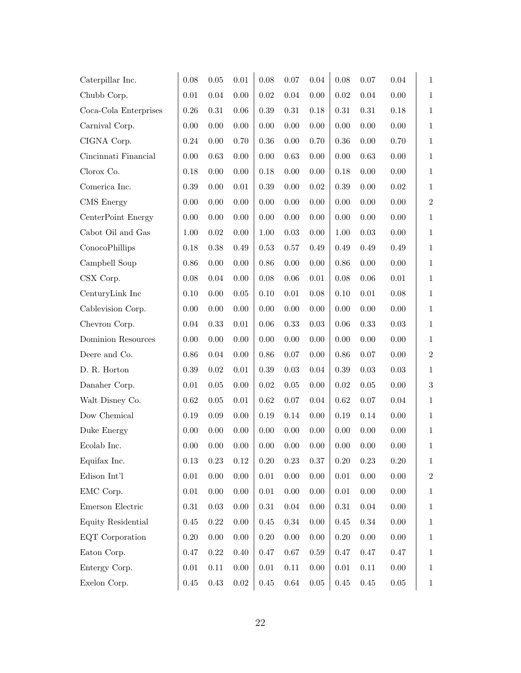| Caterpillar Inc.                   | $0.08\,$ | $0.05\,$ | $0.01\,$ | 0.08       | 0.07     | $0.04\,$ | 0.08       | 0.07     | $0.04\,$   | $\mathbf{1}$ |
|------------------------------------|----------|----------|----------|------------|----------|----------|------------|----------|------------|--------------|
| Chubb Corp.                        | $0.01\,$ | $0.04\,$ | $0.00\,$ | $0.02\,$   | 0.04     | $0.00\,$ | 0.02       | $0.04\,$ | $0.00\,$   | $\mathbf{1}$ |
| Coca-Cola Enterprises              | 0.26     | 0.31     | $0.06\,$ | 0.39       | $0.31\,$ | $0.18\,$ | $\rm 0.31$ | $0.31\,$ | $0.18\,$   | $\mathbf{1}$ |
| Carnival Corp.                     | 0.00     | 0.00     | $0.00\,$ | 0.00       | $0.00\,$ | $0.00\,$ | 0.00       | 0.00     | $0.00\,$   | $\mathbf{1}$ |
| CIGNA Corp.                        | 0.24     | $0.00\,$ | 0.70     | $0.36\,$   | $0.00\,$ | 0.70     | 0.36       | $0.00\,$ | 0.70       | $\mathbf{1}$ |
| Cincinnati Financial               | 0.00     | 0.63     | 0.00     | 0.00       | 0.63     | $0.00\,$ | 0.00       | 0.63     | $0.00\,$   | $1\,$        |
| Clorox Co.                         | 0.18     | 0.00     | $0.00\,$ | 0.18       | 0.00     | $0.00\,$ | 0.18       | 0.00     | $0.00\,$   | $\mathbf{1}$ |
| Comerica Inc.                      | $0.39\,$ | 0.00     | $0.01\,$ | 0.39       | $0.00\,$ | $0.02\,$ | 0.39       | 0.00     | $\rm 0.02$ | $\mathbf{1}$ |
| CMS Energy                         | $0.00\,$ | $0.00\,$ | $0.00\,$ | 0.00       | 0.00     | $0.00\,$ | 0.00       | $0.00\,$ | $0.00\,$   | $\,2$        |
| CenterPoint Energy                 | 0.00     | 0.00     | $0.00\,$ | 0.00       | $0.00\,$ | $0.00\,$ | 0.00       | $0.00\,$ | $0.00\,$   | $1\,$        |
| Cabot Oil and Gas                  | $1.00\,$ | 0.02     | $0.00\,$ | 1.00       | 0.03     | $0.00\,$ | 1.00       | 0.03     | $0.00\,$   | $\mathbf{1}$ |
| ConocoPhillips                     | 0.18     | 0.38     | 0.49     | 0.53       | 0.57     | 0.49     | 0.49       | 0.49     | $0.49\,$   | $1\,$        |
| Campbell Soup                      | $0.86\,$ | 0.00     | $0.00\,$ | 0.86       | $0.00\,$ | $0.00\,$ | 0.86       | 0.00     | $0.00\,$   | $\mathbf{1}$ |
| CSX Corp.                          | $0.08\,$ | 0.04     | $0.00\,$ | 0.08       | $0.06\,$ | $0.01\,$ | 0.08       | $0.06\,$ | $0.01\,$   | $\mathbf{1}$ |
| CenturyLink Inc                    | $0.10\,$ | $0.00\,$ | $0.05\,$ | 0.10       | $0.01\,$ | $0.08\,$ | 0.10       | $0.01\,$ | $0.08\,$   | $\mathbf{1}$ |
| Cablevision Corp.                  | $0.00\,$ | 0.00     | $0.00\,$ | 0.00       | $0.00\,$ | $0.00\,$ | 0.00       | $0.00\,$ | $0.00\,$   | $\mathbf{1}$ |
| Chevron Corp.                      | $0.04\,$ | 0.33     | $0.01\,$ | 0.06       | 0.33     | $0.03\,$ | 0.06       | 0.33     | $0.03\,$   | $\mathbf{1}$ |
| Dominion Resources                 | 0.00     | 0.00     | $0.00\,$ | 0.00       | 0.00     | $0.00\,$ | 0.00       | 0.00     | $0.00\,$   | $\mathbf{1}$ |
| Deere and Co.                      | $0.86\,$ | 0.04     | $0.00\,$ | 0.86       | $0.07\,$ | $0.00\,$ | 0.86       | $0.07\,$ | $0.00\,$   | $\,2$        |
| D. R. Horton                       | $0.39\,$ | 0.02     | $0.01\,$ | $0.39\,$   | 0.03     | $0.04\,$ | $0.39\,$   | $0.03\,$ | $0.03\,$   | $\mathbf{1}$ |
| Danaher Corp.                      | $0.01\,$ | $0.05\,$ | $0.00\,$ | $\rm 0.02$ | $0.05\,$ | $0.00\,$ | $0.02\,$   | $0.05\,$ | $0.00\,$   | $\sqrt{3}$   |
| Walt Disney Co.                    | 0.62     | $0.05\,$ | 0.01     | $\,0.62\,$ | 0.07     | $0.04\,$ | 0.62       | 0.07     | $0.04\,$   | $\mathbf{1}$ |
| Dow Chemical                       | $0.19\,$ | $0.09\,$ | $0.00\,$ | 0.19       | 0.14     | $0.00\,$ | 0.19       | 0.14     | $0.00\,$   | $\mathbf{1}$ |
| Duke Energy                        | $0.00\,$ | 0.00     | $0.00\,$ | 0.00       | 0.00     | $0.00\,$ | 0.00       | 0.00     | $0.00\,$   | $\mathbf{1}$ |
| Ecolab Inc.                        | $0.00\,$ | 0.00     | $0.00\,$ | 0.00       | 0.00     | $0.00\,$ | 0.00       | 0.00     | $0.00\,$   | $\mathbf{1}$ |
| Equifax Inc.                       | $0.13\,$ | $0.23\,$ | $0.12\,$ | $0.20\,$   | $0.23\,$ | $0.37\,$ | $0.20\,$   | $0.23\,$ | $0.20\,$   | $\mathbf{1}$ |
| Edison $\mathop{\rm Int}\nolimits$ | $0.01\,$ | $0.00\,$ | $0.00\,$ | $0.01\,$   | $0.00\,$ | $0.00\,$ | $0.01\,$   | $0.00\,$ | $0.00\,$   | $\,2$        |
| EMC Corp.                          | $0.01\,$ | 0.00     | 0.00     | $0.01\,$   | $0.00\,$ | $0.00\,$ | 0.01       | 0.00     | 0.00       | $\mathbf{1}$ |
| Emerson Electric                   | $0.31\,$ | $0.03\,$ | $0.00\,$ | $\rm 0.31$ | $0.04\,$ | $0.00\,$ | $0.31\,$   | $0.04\,$ | $0.00\,$   | $\mathbf{1}$ |
| Equity Residential                 | $0.45\,$ | $0.22\,$ | $0.00\,$ | $0.45\,$   | $0.34\,$ | $0.00\,$ | 0.45       | $0.34\,$ | 0.00       | $\mathbf{1}$ |
| EQT Corporation                    | $0.20\,$ | 0.00     | $0.00\,$ | $0.20\,$   | $0.00\,$ | $0.00\,$ | $0.20\,$   | $0.00\,$ | $0.00\,$   | $\mathbf{1}$ |
| Eaton Corp.                        | $0.47\,$ | $0.22\,$ | $0.40\,$ | 0.47       | $0.67\,$ | $0.59\,$ | 0.47       | $0.47\,$ | $0.47\,$   | $\mathbf{1}$ |
| Entergy Corp.                      | $0.01\,$ | 0.11     | $0.00\,$ | $0.01\,$   | $0.11\,$ | $0.00\,$ | $0.01\,$   | 0.11     | $0.00\,$   | $\mathbf{1}$ |
| Exelon Corp.                       | $0.45\,$ | $0.43\,$ | $0.02\,$ | $0.45\,$   | $0.64\,$ | $0.05\,$ | $0.45\,$   | $0.45\,$ | $0.05\,$   | $\mathbf{1}$ |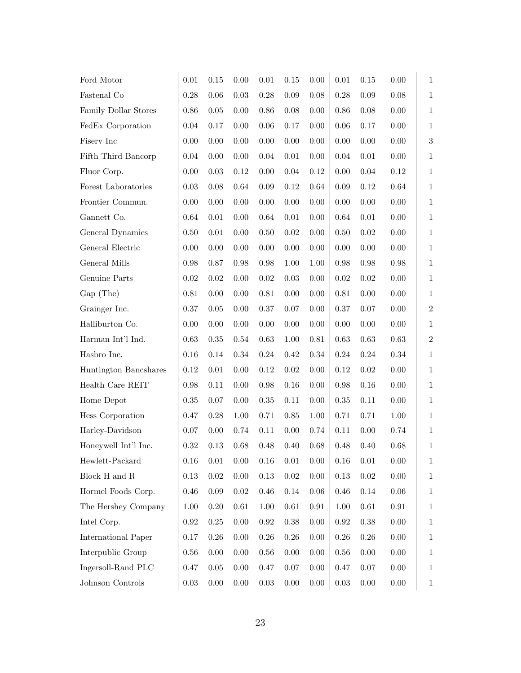| Ford Motor            | $0.01\,$   | 0.15       | 0.00       | 0.01       | 0.15     | $0.00\,$   | $0.01\,$   | 0.15     | 0.00       | $\mathbf{1}$ |
|-----------------------|------------|------------|------------|------------|----------|------------|------------|----------|------------|--------------|
| Fastenal Co           | 0.28       | $0.06\,$   | 0.03       | 0.28       | $0.09\,$ | 0.08       | 0.28       | 0.09     | $0.08\,$   | $\mathbf{1}$ |
| Family Dollar Stores  | $0.86\,$   | $0.05\,$   | 0.00       | 0.86       | 0.08     | $0.00\,$   | $0.86\,$   | $0.08\,$ | 0.00       | $\mathbf{1}$ |
| FedEx Corporation     | $0.04\,$   | $0.17\,$   | 0.00       | 0.06       | 0.17     | 0.00       | 0.06       | 0.17     | $0.00\,$   | $\mathbf{1}$ |
| Fisery Inc            | 0.00       | $0.00\,$   | 0.00       | 0.00       | $0.00\,$ | $0.00\,$   | $0.00\,$   | $0.00\,$ | 0.00       | $\sqrt{3}$   |
| Fifth Third Bancorp   | 0.04       | 0.00       | 0.00       | $0.04\,$   | $0.01\,$ | $0.00\,$   | 0.04       | $0.01\,$ | 0.00       | $\mathbf{1}$ |
| Fluor Corp.           | $0.00\,$   | 0.03       | 0.12       | 0.00       | $0.04\,$ | 0.12       | 0.00       | $0.04\,$ | $0.12\,$   | $\mathbf{1}$ |
| Forest Laboratories   | $\,0.03\,$ | $0.08\,$   | 0.64       | $0.09\,$   | 0.12     | 0.64       | 0.09       | 0.12     | $0.64\,$   | $1\,$        |
| Frontier Commun.      | $0.00\,$   | $0.00\,$   | 0.00       | 0.00       | $0.00\,$ | $0.00\,$   | $0.00\,$   | $0.00\,$ | 0.00       | $\mathbf{1}$ |
| Gannett Co.           | 0.64       | 0.01       | 0.00       | 0.64       | $0.01\,$ | $0.00\,$   | 0.64       | $0.01\,$ | $0.00\,$   | $1\,$        |
| General Dynamics      | $0.50\,$   | 0.01       | 0.00       | 0.50       | 0.02     | $0.00\,$   | 0.50       | $0.02\,$ | 0.00       | $\mathbf{1}$ |
| General Electric      | 0.00       | 0.00       | 0.00       | 0.00       | 0.00     | $0.00\,$   | 0.00       | 0.00     | $0.00\,$   | $1\,$        |
| General Mills         | 0.98       | $0.87\,$   | 0.98       | 0.98       | 1.00     | $1.00\,$   | 0.98       | $0.98\,$ | $\rm 0.98$ | $\mathbf{1}$ |
| Genuine Parts         | 0.02       | $\,0.02\,$ | 0.00       | $\rm 0.02$ | $0.03\,$ | $0.00\,$   | $\rm 0.02$ | 0.02     | $0.00\,$   | $1\,$        |
| Gap (The)             | 0.81       | $0.00\,$   | 0.00       | $0.81\,$   | 0.00     | $0.00\,$   | $\rm 0.81$ | 0.00     | 0.00       | $\mathbf{1}$ |
| Grainger Inc.         | 0.37       | $0.05\,$   | 0.00       | 0.37       | $0.07\,$ | $0.00\,$   | 0.37       | 0.07     | 0.00       | $\,2$        |
| Halliburton Co.       | $0.00\,$   | $0.00\,$   | 0.00       | 0.00       | 0.00     | $0.00\,$   | $0.00\,$   | 0.00     | 0.00       | $\mathbf{1}$ |
| Harman Int'l Ind.     | 0.63       | $0.35\,$   | 0.54       | $0.63\,$   | 1.00     | $0.81\,$   | $0.63\,$   | 0.63     | 0.63       | $\,2$        |
| Hasbro Inc.           | $0.16\,$   | 0.14       | $0.34\,$   | $0.24\,$   | 0.42     | $0.34\,$   | $0.24\,$   | $0.24\,$ | $0.34\,$   | $\mathbf{1}$ |
| Huntington Bancshares | 0.12       | 0.01       | 0.00       | $0.12\,$   | $0.02\,$ | $0.00\,$   | $0.12\,$   | $0.02\,$ | $0.00\,$   | $\mathbf{1}$ |
| Health Care REIT      | 0.98       | 0.11       | 0.00       | $0.98\,$   | $0.16\,$ | $0.00\,$   | $\rm 0.98$ | 0.16     | $0.00\,$   | $1\,$        |
| Home Depot            | $0.35\,$   | $0.07\,$   | 0.00       | $0.35\,$   | 0.11     | $0.00\,$   | 0.35       | 0.11     | 0.00       | $\mathbf{1}$ |
| Hess Corporation      | $0.47\,$   | $0.28\,$   | 1.00       | 0.71       | $0.85\,$ | $1.00\,$   | 0.71       | 0.71     | $1.00\,$   | $\mathbf{1}$ |
| Harley-Davidson       | 0.07       | 0.00       | 0.74       | 0.11       | 0.00     | 0.74       | $0.11\,$   | 0.00     | 0.74       | $\mathbf{1}$ |
| Honeywell Int'l Inc.  | 0.32       | 0.13       | 0.68       | 0.48       | 0.40     | 0.68       | 0.48       | 0.40     | $0.68\,$   | $\mathbf{1}$ |
| Hewlett-Packard       | 0.16       | $0.01\,$   | $0.00\,$   | $0.16\,$   | $0.01\,$ | $0.00\,$   | $0.16\,$   | $0.01\,$ | $0.00\,$   | $\mathbf{1}$ |
| Block H and R         | 0.13       | $0.02\,$   | 0.00       | 0.13       | $0.02\,$ | $0.00\,$   | 0.13       | $0.02\,$ | $0.00\,$   | $\mathbf{1}$ |
| Hormel Foods Corp.    | 0.46       | $0.09\,$   | 0.02       | 0.46       | 0.14     | 0.06       | 0.46       | 0.14     | 0.06       | $\mathbf{1}$ |
| The Hershey Company   | $1.00\,$   | $0.20\,$   | $\,0.61\,$ | 1.00       | 0.61     | $\rm 0.91$ | 1.00       | $0.61\,$ | $\rm 0.91$ | $\mathbf{1}$ |
| Intel Corp.           | 0.92       | $0.25\,$   | 0.00       | 0.92       | $0.38\,$ | 0.00       | 0.92       | 0.38     | 0.00       | $\mathbf{1}$ |
| International Paper   | 0.17       | $0.26\,$   | 0.00       | $0.26\,$   | 0.26     | 0.00       | $0.26\,$   | $0.26\,$ | $0.00\,$   | $\mathbf{1}$ |
| Interpublic Group     | 0.56       | 0.00       | 0.00       | 0.56       | 0.00     | 0.00       | $0.56\,$   | $0.00\,$ | 0.00       | $\mathbf{1}$ |
| Ingersoll-Rand PLC    | $0.47\,$   | $0.05\,$   | 0.00       | $0.47\,$   | 0.07     | 0.00       | 0.47       | $0.07\,$ | $0.00\,$   | $\mathbf{1}$ |
| Johnson Controls      | $0.03\,$   | $0.00\,$   | 0.00       | $0.03\,$   | 0.00     | $0.00\,$   | $0.03\,$   | 0.00     | $0.00\,$   | $\mathbf{1}$ |
|                       |            |            |            |            |          |            |            |          |            |              |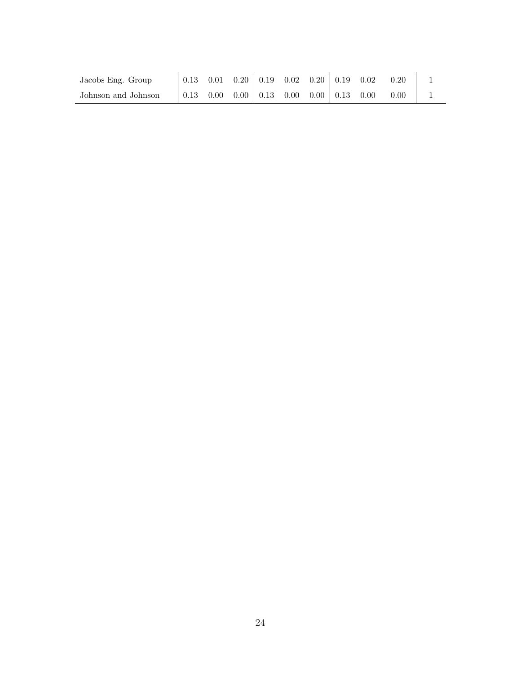| Jacobs Eng. Group   | 0.13 | 0.01 | $0.20 \mid 0.19 \mid 0.02 \mid 0.20 \mid 0.19$ |  |                     | 0.02 | 0.20 |  |
|---------------------|------|------|------------------------------------------------|--|---------------------|------|------|--|
| Johnson and Johnson | 0.13 | 0.00 | $0.00 \begin{array}{ l} 0.13 \end{array}$ 0.00 |  | $0.00 \;   \; 0.13$ | 0.00 | 0.00 |  |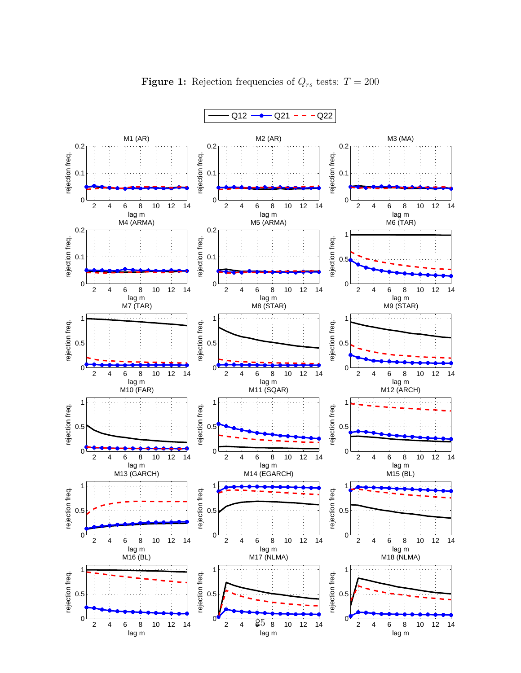

**Figure 1:** Rejection frequencies of  $Q_{rs}$  tests:  $T = 200$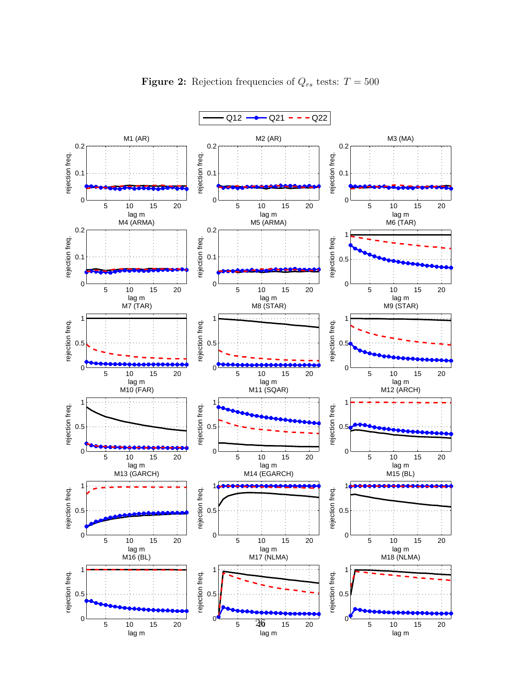

**Figure 2:** Rejection frequencies of  $Q_{rs}$  tests:  $T = 500$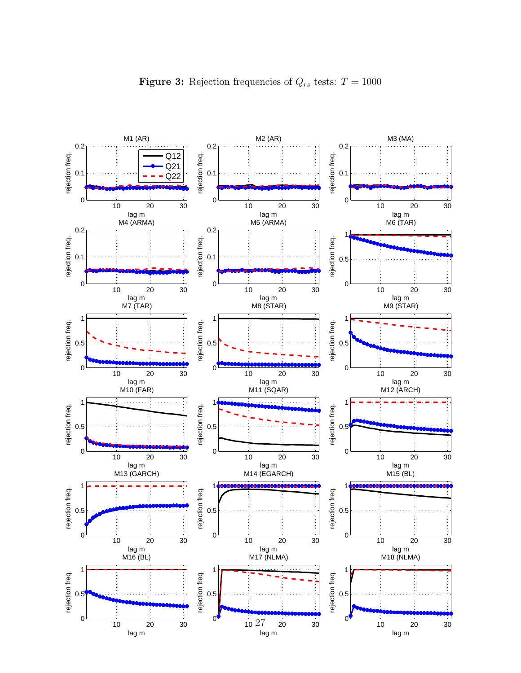

Figure 3: Rejection frequencies of  $Q_{rs}$  tests:  $T = 1000$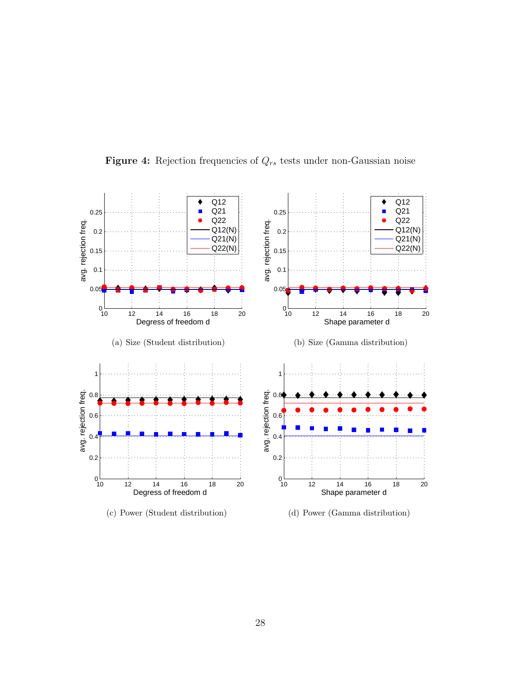

Figure 4: Rejection frequencies of  $Q_{rs}$  tests under non-Gaussian noise